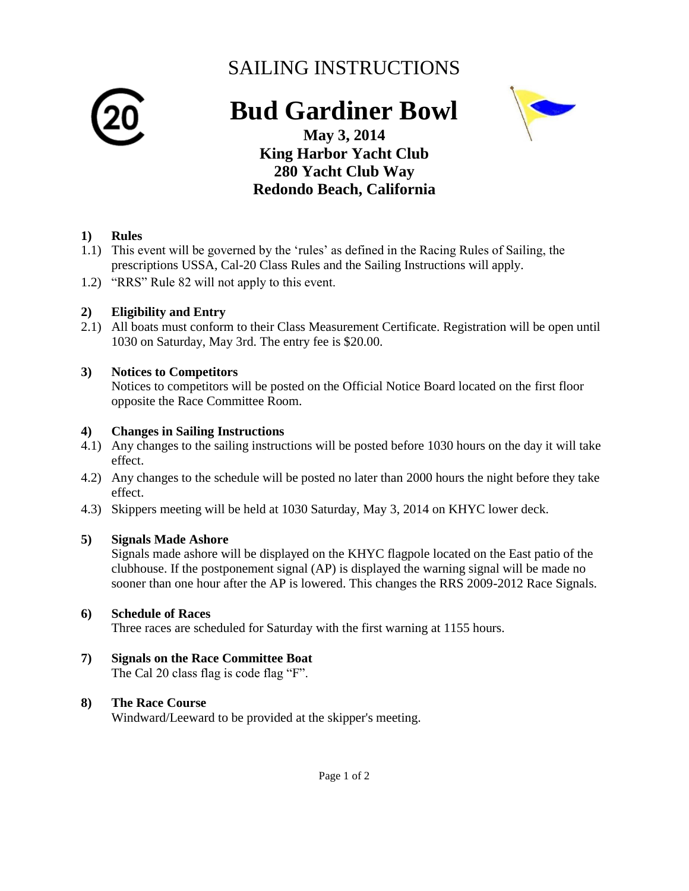# SAILING INSTRUCTIONS



# **Bud Gardiner Bowl**



**May 3, 2014 King Harbor Yacht Club 280 Yacht Club Way Redondo Beach, California**

### **1) Rules**

- 1.1) This event will be governed by the 'rules' as defined in the Racing Rules of Sailing, the prescriptions USSA, Cal-20 Class Rules and the Sailing Instructions will apply.
- 1.2) "RRS" Rule 82 will not apply to this event.

### **2) Eligibility and Entry**

2.1) All boats must conform to their Class Measurement Certificate. Registration will be open until 1030 on Saturday, May 3rd. The entry fee is \$20.00.

### **3) Notices to Competitors**

Notices to competitors will be posted on the Official Notice Board located on the first floor opposite the Race Committee Room.

### **4) Changes in Sailing Instructions**

- 4.1) Any changes to the sailing instructions will be posted before 1030 hours on the day it will take effect.
- 4.2) Any changes to the schedule will be posted no later than 2000 hours the night before they take effect.
- 4.3) Skippers meeting will be held at 1030 Saturday, May 3, 2014 on KHYC lower deck.

### **5) Signals Made Ashore**

Signals made ashore will be displayed on the KHYC flagpole located on the East patio of the clubhouse. If the postponement signal (AP) is displayed the warning signal will be made no sooner than one hour after the AP is lowered. This changes the RRS 2009-2012 Race Signals.

### **6) Schedule of Races**

Three races are scheduled for Saturday with the first warning at 1155 hours.

#### **7) Signals on the Race Committee Boat**  The Cal 20 class flag is code flag "F".

### **8) The Race Course**

Windward/Leeward to be provided at the skipper's meeting.